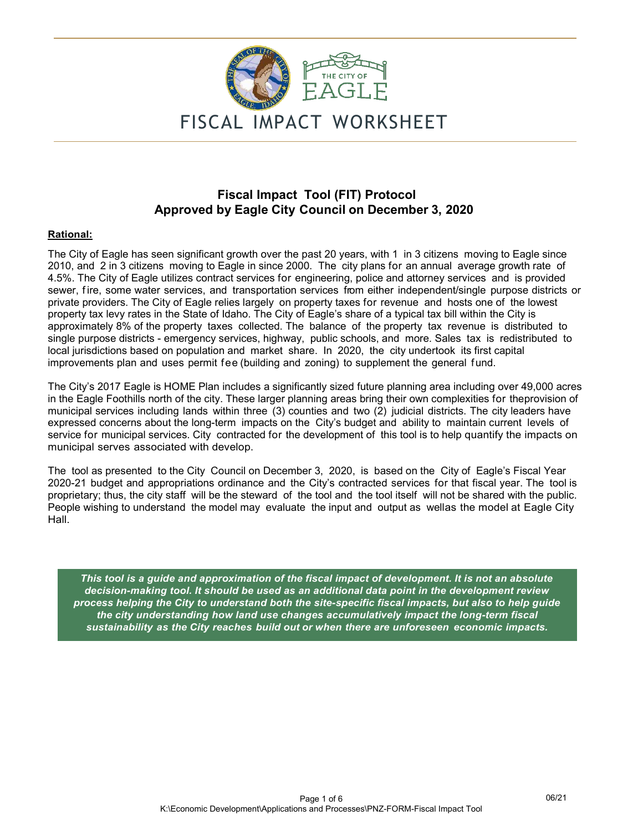

# **Fiscal Impact Tool (FIT) Protocol Approved by Eagle City Council on December 3, 2020**

#### **Rational:**

The City of Eagle has seen significant growth over the past 20 years, with 1 in 3 citizens moving to Eagle since 2010, and 2 in 3 citizens moving to Eagle in since 2000. The city plans for an annual average growth rate of 4.5%. The City of Eagle utilizes contract services for engineering, police and attorney services and is provided sewer, fire, some water services, and transportation services from either independent/single purpose districts or private providers. The City of Eagle relies largely on property taxes for revenue and hosts one of the lowest property tax levy rates in the State of Idaho. The City of Eagle's share of a typical tax bill within the City is approximately 8% of the property taxes collected. The balance of the property tax revenue is distributed to single purpose districts - emergency services, highway, public schools, and more. Sales tax is redistributed to local jurisdictions based on population and market share. In 2020, the city undertook its first capital improvements plan and uses permit fee (building and zoning) to supplement the general fund.

The City's 2017 Eagle is HOME Plan includes a significantly sized future planning area including over 49,000 acres in the Eagle Foothills north of the city. These larger planning areas bring their own complexities for the provision of municipal services including lands within three (3) counties and two (2) judicial districts. The city leaders have expressed concerns about the long-term impacts on the City's budget and ability to maintain current levels of service for municipal services. City contracted for the development of this tool is to help quantify the impacts on municipal serves associated with develop.

The tool as presented to the City Council on December 3, 2020, is based on the City of Eagle's Fiscal Year 2020-21 budget and appropriations ordinance and the City's contracted services for that fiscal year. The tool is proprietary; thus, the city staff will be the steward of the tool and the tool itself will not be shared with the public. People wishing to understand the model may evaluate the input and output as wellas the model at Eagle City Hall.

*This tool is a guide and approximation of the fiscal impact of development. It is not an absolute decision-making tool. It should be used as an additional data point in the development review process helping the City to understand both the site-specific fiscal impacts, but also to help guide the city understanding how land use changes accumulatively impact the long-term fiscal sustainability as the City reaches build out or when there are unforeseen economic impacts.*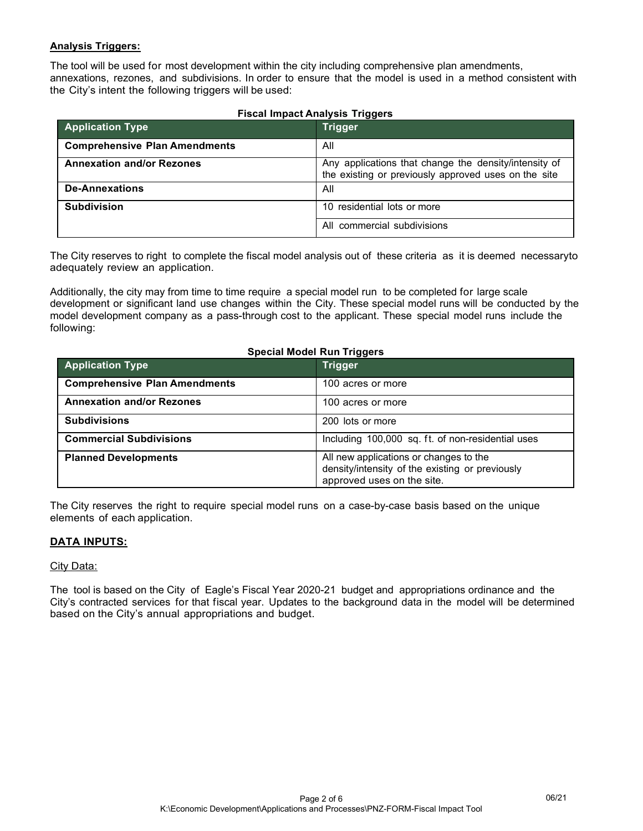### **Analysis Triggers:**

The tool will be used for most development within the city including comprehensive plan amendments, annexations, rezones, and subdivisions. In order to ensure that the model is used in a method consistent with the City's intent the following triggers will be used:

| <b>Application Type</b>              | Trigger                                                                                                       |
|--------------------------------------|---------------------------------------------------------------------------------------------------------------|
| <b>Comprehensive Plan Amendments</b> | All                                                                                                           |
| <b>Annexation and/or Rezones</b>     | Any applications that change the density/intensity of<br>the existing or previously approved uses on the site |
| <b>De-Annexations</b>                | All                                                                                                           |
| <b>Subdivision</b>                   | 10 residential lots or more                                                                                   |
|                                      | All commercial subdivisions                                                                                   |

The City reserves to right to complete the fiscal model analysis out of these criteria as it is deemed necessary to adequately review an application.

Additionally, the city may from time to time require a special model run to be completed for large scale development or significant land use changes within the City. These special model runs will be conducted by the model development company as a pass-through cost to the applicant. These special model runs include the following:

| <b>Special Model Run Triggers</b>    |                                                                                                                         |  |  |  |  |  |  |  |  |
|--------------------------------------|-------------------------------------------------------------------------------------------------------------------------|--|--|--|--|--|--|--|--|
| <b>Application Type</b>              | Trigger                                                                                                                 |  |  |  |  |  |  |  |  |
| <b>Comprehensive Plan Amendments</b> | 100 acres or more                                                                                                       |  |  |  |  |  |  |  |  |
| <b>Annexation and/or Rezones</b>     | 100 acres or more                                                                                                       |  |  |  |  |  |  |  |  |
| <b>Subdivisions</b>                  | 200 lots or more                                                                                                        |  |  |  |  |  |  |  |  |
| <b>Commercial Subdivisions</b>       | Including 100,000 sq. ft. of non-residential uses                                                                       |  |  |  |  |  |  |  |  |
| <b>Planned Developments</b>          | All new applications or changes to the<br>density/intensity of the existing or previously<br>approved uses on the site. |  |  |  |  |  |  |  |  |

The City reserves the right to require special model runs on a case-by-case basis based on the unique elements of each application.

### **DATA INPUTS:**

#### City Data:

The tool is based on the City of Eagle's Fiscal Year 2020-21 budget and appropriations ordinance and the City's contracted services for that fiscal year. Updates to the background data in the model will be determined based on the City's annual appropriations and budget.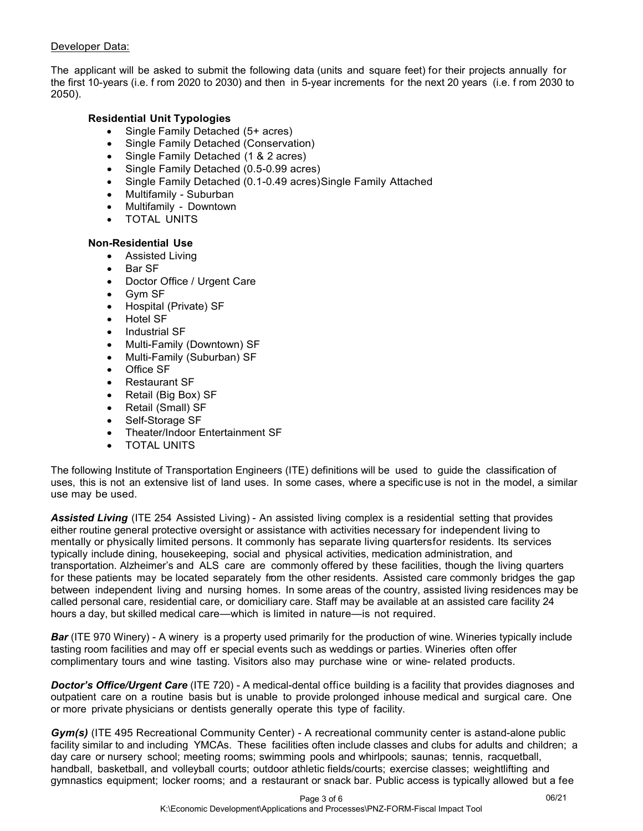### Developer Data:

The applicant will be asked to submit the following data (units and square feet) for their projects annually for the first 10-years (i.e. f rom 2020 to 2030) and then in 5-year increments for the next 20 years (i.e. f rom 2030 to 2050).

## **Residential Unit Typologies**

- Single Family Detached (5+ acres)
- Single Family Detached (Conservation)
- Single Family Detached (1 & 2 acres)
- Single Family Detached (0.5-0.99 acres)
- Single Family Detached (0.1-0.49 acres) Single Family Attached
- Multifamily Suburban
- Multifamily Downtown
- TOTAL UNITS

### **Non-Residential Use**

- Assisted Living
- Bar SF
- Doctor Office / Urgent Care
- Gvm SF
- Hospital (Private) SF
- Hotel SF
- Industrial SF
- Multi-Family (Downtown) SF
- Multi-Family (Suburban) SF
- Office SF
- Restaurant SF
- Retail (Big Box) SF
- Retail (Small) SF
- Self-Storage SF
- Theater/Indoor Entertainment SF
- **TOTAL UNITS**

The following Institute of Transportation Engineers (ITE) definitions will be used to guide the classification of uses, this is not an extensive list of land uses. In some cases, where a specific use is not in the model, a similar use may be used.

*Assisted Living* (ITE 254 Assisted Living) - An assisted living complex is a residential setting that provides either routine general protective oversight or assistance with activities necessary for independent living to mentally or physically limited persons. It commonly has separate living quarters for residents. Its services typically include dining, housekeeping, social and physical activities, medication administration, and transportation. Alzheimer's and ALS care are commonly offered by these facilities, though the living quarters for these patients may be located separately from the other residents. Assisted care commonly bridges the gap between independent living and nursing homes. In some areas of the country, assisted living residences may be called personal care, residential care, or domiciliary care. Staff may be available at an assisted care facility 24 hours a day, but skilled medical care—which is limited in nature—is not required.

*Bar* (ITE 970 Winery) - A winery is a property used primarily for the production of wine. Wineries typically include tasting room facilities and may off er special events such as weddings or parties. Wineries often offer complimentary tours and wine tasting. Visitors also may purchase wine or wine- related products.

*Doctor's Office/Urgent Care* (ITE 720) - A medical-dental office building is a facility that provides diagnoses and outpatient care on a routine basis but is unable to provide prolonged inhouse medical and surgical care. One or more private physicians or dentists generally operate this type of facility.

Gym(s) (ITE 495 Recreational Community Center) - A recreational community center is astand-alone public facility similar to and including YMCAs. These facilities often include classes and clubs for adults and children; a day care or nursery school; meeting rooms; swimming pools and whirlpools; saunas; tennis, racquetball, handball, basketball, and volleyball courts; outdoor athletic fields/courts; exercise classes; weightlifting and gymnastics equipment; locker rooms; and a restaurant or snack bar. Public access is typically allowed but a fee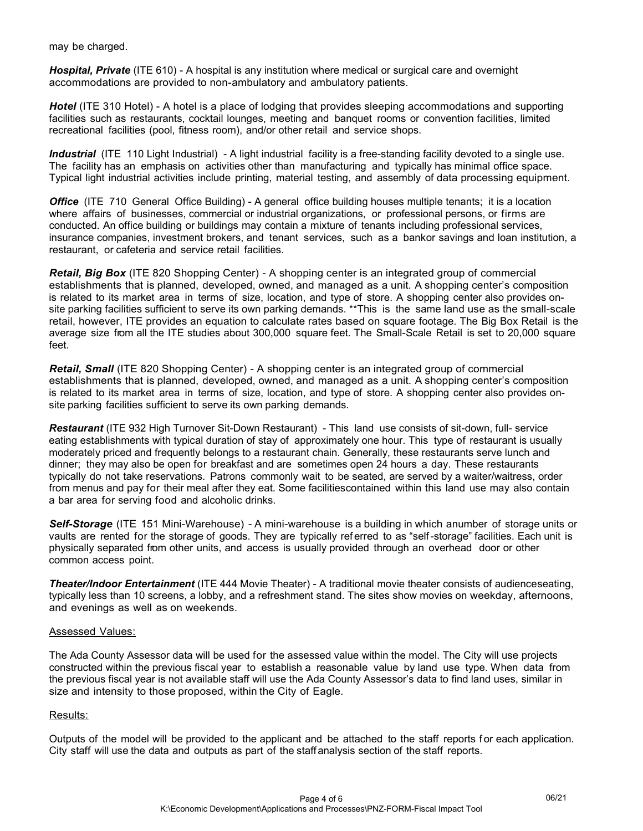may be charged.

*Hospital, Private* (ITE 610) - A hospital is any institution where medical or surgical care and overnight accommodations are provided to non-ambulatory and ambulatory patients.

*Hotel* (ITE 310 Hotel) - A hotel is a place of lodging that provides sleeping accommodations and supporting facilities such as restaurants, cocktail lounges, meeting and banquet rooms or convention facilities, limited recreational facilities (pool, fitness room), and/or other retail and service shops.

*Industrial* (ITE 110 Light Industrial) - A light industrial facility is a free-standing facility devoted to a single use. The facility has an emphasis on activities other than manufacturing and typically has minimal office space. Typical light industrial activities include printing, material testing, and assembly of data processing equipment.

*Office* (ITE 710 General Office Building) - A general office building houses multiple tenants; it is a location where affairs of businesses, commercial or industrial organizations, or professional persons, or firms are conducted. An office building or buildings may contain a mixture of tenants including professional services, insurance companies, investment brokers, and tenant services, such as a bankor savings and loan institution, a restaurant, or cafeteria and service retail facilities.

*Retail, Big Box* (ITE 820 Shopping Center) - A shopping center is an integrated group of commercial establishments that is planned, developed, owned, and managed as a unit. A shopping center's composition is related to its market area in terms of size, location, and type of store. A shopping center also provides onsite parking facilities sufficient to serve its own parking demands. \*\*This is the same land use as the small-scale retail, however, ITE provides an equation to calculate rates based on square footage. The Big Box Retail is the average size from all the ITE studies about 300,000 square feet. The Small-Scale Retail is set to 20,000 square feet.

*Retail, Small* (ITE 820 Shopping Center) - A shopping center is an integrated group of commercial establishments that is planned, developed, owned, and managed as a unit. A shopping center's composition is related to its market area in terms of size, location, and type of store. A shopping center also provides onsite parking facilities sufficient to serve its own parking demands.

*Restaurant* (ITE 932 High Turnover Sit-Down Restaurant) - This land use consists of sit-down, full- service eating establishments with typical duration of stay of approximately one hour. This type of restaurant is usually moderately priced and frequently belongs to a restaurant chain. Generally, these restaurants serve lunch and dinner; they may also be open for breakfast and are sometimes open 24 hours a day. These restaurants typically do not take reservations. Patrons commonly wait to be seated, are served by a waiter/waitress, order from menus and pay for their meal after they eat. Some facilities contained within this land use may also contain a bar area for serving food and alcoholic drinks.

**Self-Storage** (ITE 151 Mini-Warehouse) - A mini-warehouse is a building in which anumber of storage units or vaults are rented for the storage of goods. They are typically ref erred to as "self -storage" facilities. Each unit is physically separated from other units, and access is usually provided through an overhead door or other common access point.

*Theater/Indoor Entertainment* (ITE 444 Movie Theater) - A traditional movie theater consists of audience seating, typically less than 10 screens, a lobby, and a refreshment stand. The sites show movies on weekday, afternoons, and evenings as well as on weekends.

#### Assessed Values:

The Ada County Assessor data will be used for the assessed value within the model. The City will use projects constructed within the previous fiscal year to establish a reasonable value by land use type. When data from the previous fiscal year is not available staff will use the Ada County Assessor's data to find land uses, similar in size and intensity to those proposed, within the City of Eagle.

#### Results:

Outputs of the model will be provided to the applicant and be attached to the staff reports for each application. City staff will use the data and outputs as part of the staff analysis section of the staff reports.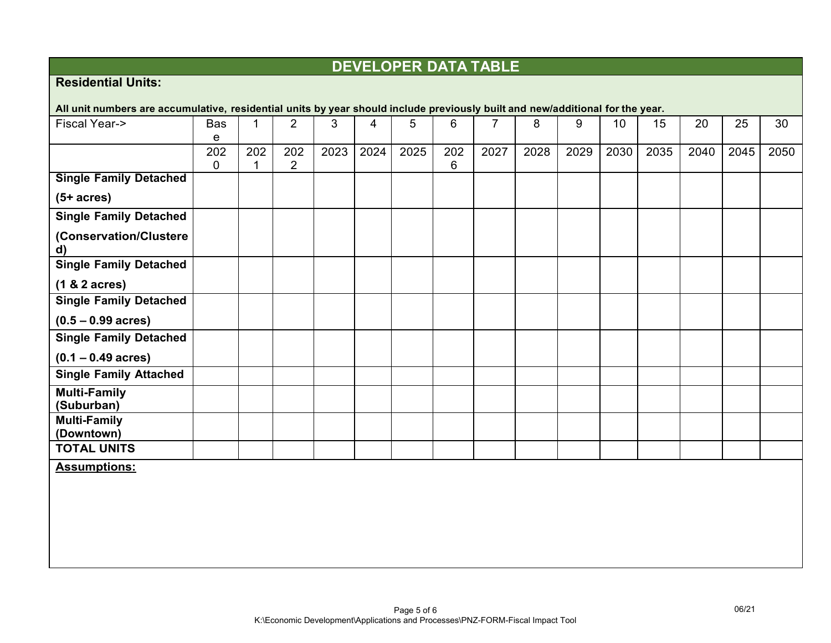# **DEVELOPER DATA TABLE**

# **Residential Units:**

| All unit numbers are accumulative, residential units by year should include previously built and new/additional for the year. |            |          |                       |      |      |      |          |      |      |      |      |      |      |      |      |
|-------------------------------------------------------------------------------------------------------------------------------|------------|----------|-----------------------|------|------|------|----------|------|------|------|------|------|------|------|------|
| <b>Fiscal Year-&gt;</b>                                                                                                       | <b>Bas</b> | 1        | $\overline{2}$        | 3    | 4    | 5    | 6        | 7    | 8    | 9    | 10   | 15   | 20   | 25   | 30   |
|                                                                                                                               | e          |          |                       |      |      |      |          |      |      |      |      |      |      |      |      |
|                                                                                                                               | 202<br>0   | 202<br>1 | 202<br>$\overline{2}$ | 2023 | 2024 | 2025 | 202<br>6 | 2027 | 2028 | 2029 | 2030 | 2035 | 2040 | 2045 | 2050 |
| <b>Single Family Detached</b>                                                                                                 |            |          |                       |      |      |      |          |      |      |      |      |      |      |      |      |
| $(5+ \text{ acres})$                                                                                                          |            |          |                       |      |      |      |          |      |      |      |      |      |      |      |      |
| <b>Single Family Detached</b>                                                                                                 |            |          |                       |      |      |      |          |      |      |      |      |      |      |      |      |
| (Conservation/Clustere<br>$\mathsf{d}$                                                                                        |            |          |                       |      |      |      |          |      |      |      |      |      |      |      |      |
| <b>Single Family Detached</b>                                                                                                 |            |          |                       |      |      |      |          |      |      |      |      |      |      |      |      |
| $(1 & 2 \text{ acres})$                                                                                                       |            |          |                       |      |      |      |          |      |      |      |      |      |      |      |      |
| <b>Single Family Detached</b>                                                                                                 |            |          |                       |      |      |      |          |      |      |      |      |      |      |      |      |
| $(0.5 - 0.99 \text{ acres})$                                                                                                  |            |          |                       |      |      |      |          |      |      |      |      |      |      |      |      |
| <b>Single Family Detached</b>                                                                                                 |            |          |                       |      |      |      |          |      |      |      |      |      |      |      |      |
| $(0.1 - 0.49 \text{ acres})$                                                                                                  |            |          |                       |      |      |      |          |      |      |      |      |      |      |      |      |
| <b>Single Family Attached</b>                                                                                                 |            |          |                       |      |      |      |          |      |      |      |      |      |      |      |      |
| <b>Multi-Family</b><br>(Suburban)                                                                                             |            |          |                       |      |      |      |          |      |      |      |      |      |      |      |      |
| <b>Multi-Family</b><br>(Downtown)                                                                                             |            |          |                       |      |      |      |          |      |      |      |      |      |      |      |      |
| <b>TOTAL UNITS</b>                                                                                                            |            |          |                       |      |      |      |          |      |      |      |      |      |      |      |      |
| <b>Assumptions:</b>                                                                                                           |            |          |                       |      |      |      |          |      |      |      |      |      |      |      |      |
|                                                                                                                               |            |          |                       |      |      |      |          |      |      |      |      |      |      |      |      |